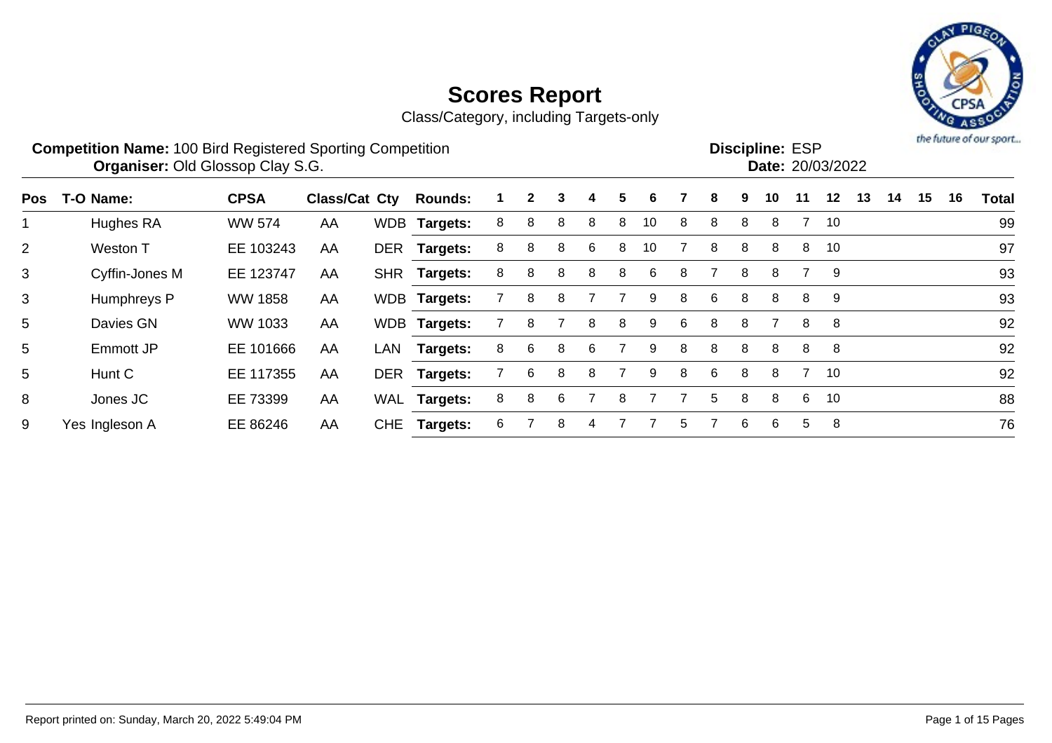



**Competition Name:** 100 Bird Registered Sporting Competition **EXP EXP Competition EXP Organiser:** Old Glossop Clay S.G. 2008/2022 **Discipline: ESP<br>
Date: 20/03/2022** 

| Pos            | T-O Name:      | <b>CPSA</b>    | Class/Cat Cty |     | <b>Rounds:</b>  |    | 2 | 3 | 4  | 5 | 6  |    | 8  | 9 | 10 | 11 | $12 \,$        | 13 | 14 | 15 | 16 | Total |
|----------------|----------------|----------------|---------------|-----|-----------------|----|---|---|----|---|----|----|----|---|----|----|----------------|----|----|----|----|-------|
|                | Hughes RA      | <b>WW 574</b>  | AA            |     | WDB Targets:    | 8. | 8 | 8 | 8  | 8 | 10 | 8  | 8  | 8 | 8  |    | 10             |    |    |    |    | 99    |
| $\overline{2}$ | Weston T       | EE 103243      | AA            |     | DER Targets:    | 8  | 8 | 8 | -6 | 8 | 10 |    | 8  | 8 | 8  | 8  | 10             |    |    |    |    | 97    |
| 3              | Cyffin-Jones M | EE 123747      | AA            |     | SHR Targets:    | 8  | 8 | 8 | 8  | 8 | 6  | 8  |    | 8 | 8  |    | 9              |    |    |    |    | 93    |
| 3              | Humphreys P    | <b>WW 1858</b> | AA            |     | WDB Targets:    |    | 8 | 8 |    |   | 9  | 8  | 6  | 8 | 8  | 8  | -9             |    |    |    |    | 93    |
| 5              | Davies GN      | WW 1033        | AA            |     | WDB Targets:    |    | 8 |   | 8  | 8 | 9  | -6 | 8  | 8 |    | 8  | - 8            |    |    |    |    | 92    |
| 5              | Emmott JP      | EE 101666      | AA            | LAN | <b>Targets:</b> | 8  | 6 | 8 | 6  |   | 9  | 8  | 8  | 8 | 8  | 8  | 8 <sup>8</sup> |    |    |    |    | 92    |
| 5              | Hunt C         | EE 117355      | AA            |     | DER Targets:    |    | 6 | 8 | 8  |   | 9  | 8  | 6  | 8 | 8  |    | 7 10           |    |    |    |    | 92    |
| 8              | Jones JC       | EE 73399       | AA            |     | WAL Targets:    | 8  | 8 | 6 |    | 8 |    |    | 5. | 8 | 8  | -6 | 10             |    |    |    |    | 88    |
| 9              | Yes Ingleson A | EE 86246       | AA            |     | CHE Targets:    | 6  |   | 8 |    |   |    | 5  |    | 6 | 6  | 5  | 8              |    |    |    |    | 76    |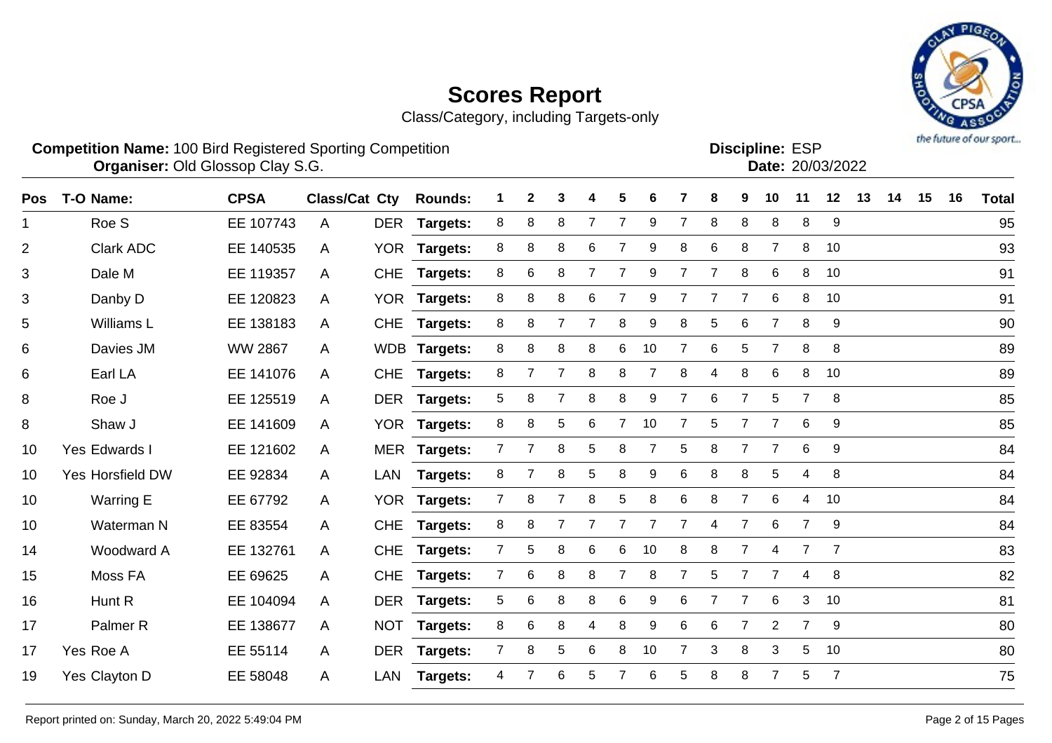Class/Category, including Targets-only



**Competition Name:** 100 Bird Registered Sporting Competition **EXP EXP Competition EXP Organiser:** Old Glossop Clay S.G. 2008/2022

**Discipline:**

| סטוµוווק. ∟טר |                  |
|---------------|------------------|
|               | Date: 20/03/2022 |
|               |                  |

| T-O Name:           | <b>CPSA</b>    |   |            | <b>Rounds:</b>       |                                                                                                                                    | $\mathbf{2}$ | 3              |                | 5              | 6  |                | 8              | 9              | 10             | 11             | 12             | 13 | 14 | 15 | 16 | <b>Total</b> |
|---------------------|----------------|---|------------|----------------------|------------------------------------------------------------------------------------------------------------------------------------|--------------|----------------|----------------|----------------|----|----------------|----------------|----------------|----------------|----------------|----------------|----|----|----|----|--------------|
| Roe S               | EE 107743      | A | <b>DER</b> | Targets:             | 8                                                                                                                                  | 8            | 8              | $\overline{7}$ | $\overline{7}$ | 9  |                | 8              | 8              | 8              | 8              | 9              |    |    |    |    | 95           |
| <b>Clark ADC</b>    | EE 140535      | A | <b>YOR</b> | <b>Targets:</b>      | 8                                                                                                                                  | 8            | 8              | 6              |                | 9  | 8              | 6              | 8              |                | 8              | 10             |    |    |    |    | 93           |
| Dale M              | EE 119357      | A | <b>CHE</b> | Targets:             | 8                                                                                                                                  | 6            | 8              | $\overline{7}$ |                | 9  |                | $\overline{7}$ | 8              | 6              | 8              | 10             |    |    |    |    | 91           |
| Danby D             | EE 120823      | A |            |                      | 8                                                                                                                                  | 8            | 8              | 6              | 7              | 9  |                | 7              | $\overline{7}$ | 6              | 8              | 10             |    |    |    |    | 91           |
| Williams L          | EE 138183      | A | <b>CHE</b> | <b>Targets:</b>      | 8                                                                                                                                  | 8            | $\overline{7}$ | $\overline{7}$ | 8              | 9  | 8              | 5              | 6              | $\overline{7}$ | 8              | 9              |    |    |    |    | 90           |
| Davies JM           | <b>WW 2867</b> | A |            |                      | 8                                                                                                                                  | 8            | 8              | 8              | 6              | 10 | $\overline{7}$ | 6              | 5              | $\overline{7}$ | 8              | 8              |    |    |    |    | 89           |
| Earl LA             | EE 141076      | A | <b>CHE</b> | <b>Targets:</b>      | 8                                                                                                                                  |              | $\overline{7}$ | 8              | 8              | 7  | 8              | 4              | 8              | 6              | 8              | 10             |    |    |    |    | 89           |
| Roe J               | EE 125519      | A |            |                      | 5                                                                                                                                  | 8            | $\overline{7}$ | 8              | 8              | 9  | $\overline{7}$ | 6              | $\overline{7}$ | 5              | $\overline{7}$ | 8              |    |    |    |    | 85           |
| Shaw J              | EE 141609      | A |            |                      | 8                                                                                                                                  | 8            | 5              | 6              | $\overline{7}$ | 10 | 7              | 5              | $\overline{7}$ | $\overline{7}$ | 6              | 9              |    |    |    |    | 85           |
| Yes Edwards I       | EE 121602      | A |            |                      | $7^{\circ}$                                                                                                                        |              | 8              | 5              | 8              | 7  | 5              | 8              |                | $\overline{7}$ | 6              | 9              |    |    |    |    | 84           |
| Yes Horsfield DW    | EE 92834       | A | <b>LAN</b> | <b>Targets:</b>      | 8                                                                                                                                  |              | 8              | 5              | 8              | 9  | 6              | 8              | 8              | 5              | 4              | 8              |    |    |    |    | 84           |
| Warring E           | EE 67792       | A | <b>YOR</b> | Targets:             | 7                                                                                                                                  | 8            | $\overline{7}$ | 8              | 5              | 8  | 6              | 8              | $\overline{7}$ | 6              | 4              | 10             |    |    |    |    | 84           |
| Waterman N          | EE 83554       | A | <b>CHE</b> |                      | 8                                                                                                                                  | 8            | 7              | $\overline{7}$ | 7              | 7  | 7              | 4              | $\overline{7}$ | 6              | $\overline{7}$ | 9              |    |    |    |    | 84           |
| Woodward A          | EE 132761      | A | <b>CHE</b> | <b>Targets:</b>      | $\overline{7}$                                                                                                                     | 5            | 8              | 6              | 6              | 10 | 8              | 8              | $\overline{7}$ | 4              | $\overline{7}$ | $\overline{7}$ |    |    |    |    | 83           |
| Moss FA             | EE 69625       | A | <b>CHE</b> | <b>Targets:</b>      | $\overline{7}$                                                                                                                     | 6            | 8              | 8              | $\overline{7}$ | 8  | $\overline{7}$ | 5              | $\overline{7}$ | $\overline{7}$ | 4              | 8              |    |    |    |    | 82           |
| Hunt R              | EE 104094      | A | <b>DER</b> | <b>Targets:</b>      | 5                                                                                                                                  | 6            | 8              | 8              | 6              | 9  | 6              | 7              | $\overline{7}$ | 6              | 3              | 10             |    |    |    |    | 81           |
| Palmer <sub>R</sub> | EE 138677      | A | <b>NOT</b> |                      | 8                                                                                                                                  | 6            | 8              | 4              | 8              | 9  | 6              | 6              | 7              | $\overline{2}$ | $\overline{7}$ | 9              |    |    |    |    | 80           |
| Yes Roe A           | EE 55114       | A |            |                      | $\overline{7}$                                                                                                                     | 8            | 5              | 6              | 8              | 10 |                | 3              | 8              | 3              | 5              | 10             |    |    |    |    | 80           |
| Yes Clayton D       | EE 58048       | A | <b>LAN</b> | <b>Targets:</b>      | 4                                                                                                                                  |              | 6              | 5              |                | 6  | 5              | 8              | 8              |                | 5              | $\overline{7}$ |    |    |    |    | 75           |
|                     |                |   |            | <b>Class/Cat Cty</b> | YOR Targets:<br>WDB Targets:<br>DER Targets:<br>YOR Targets:<br>MER Targets:<br><b>Targets:</b><br><b>Targets:</b><br>DER Targets: |              |                |                |                |    |                |                |                |                |                |                |    |    |    |    |              |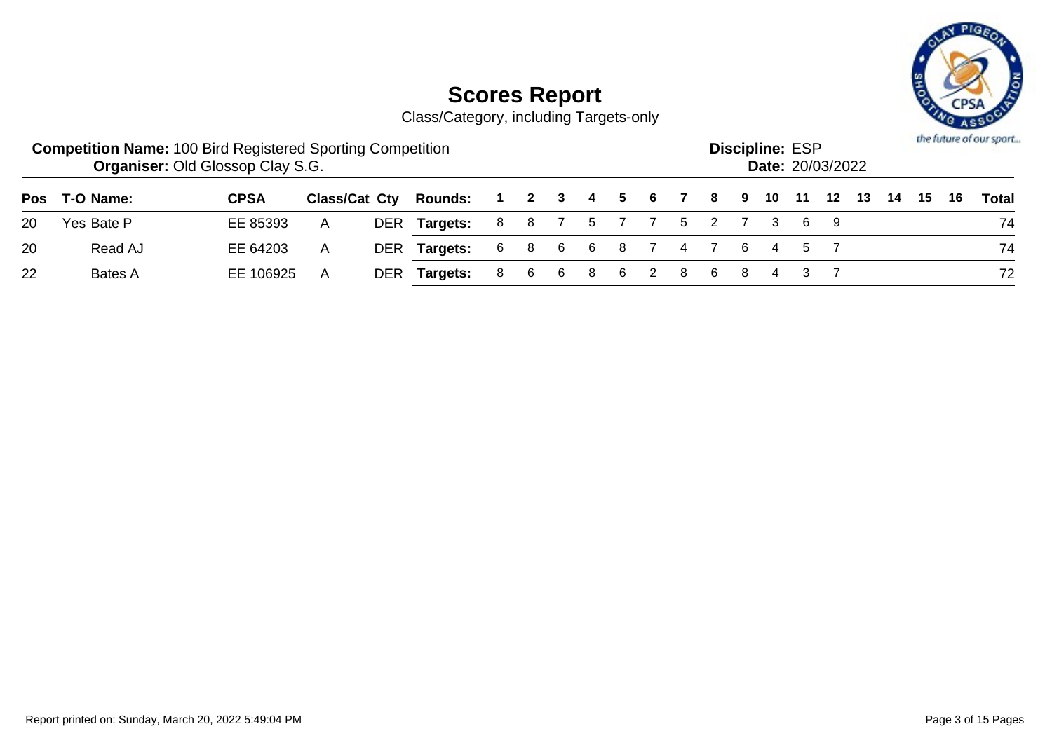

|    | <b>Competition Name: 100 Bird Registered Sporting Competition</b> | <b>Organiser: Old Glossop Clay S.G.</b> |              |                              |                      |     |  |       |                         |  | <b>Discipline: ESP</b> | <b>Date: 20/03/2022</b> |  |      | the future of our sport |
|----|-------------------------------------------------------------------|-----------------------------------------|--------------|------------------------------|----------------------|-----|--|-------|-------------------------|--|------------------------|-------------------------|--|------|-------------------------|
|    | Pos T-O Name:                                                     | <b>CPSA</b>                             |              | <b>Class/Cat Cty Rounds:</b> | 1 2 3 4 5 6 7 8 9 10 |     |  |       |                         |  | - 11                   |                         |  | - 16 | Total                   |
| 20 | Yes Bate P                                                        | EE 85393                                | A            | DER Targets:                 |                      |     |  |       | 8 8 7 5 7 7 5 2 7 3 6 9 |  |                        |                         |  |      | 74                      |
| 20 | Read AJ                                                           | EE 64203                                | $\mathsf{A}$ | DER Targets:                 |                      |     |  |       | 6 8 6 6 8 7 4 7 6 4 5 7 |  |                        |                         |  |      | 74                      |
| 22 | Bates A                                                           | EE 106925                               | A            | DER Targets:                 |                      | 866 |  | 8 6 2 | 868                     |  | 4 3 7                  |                         |  |      | 72                      |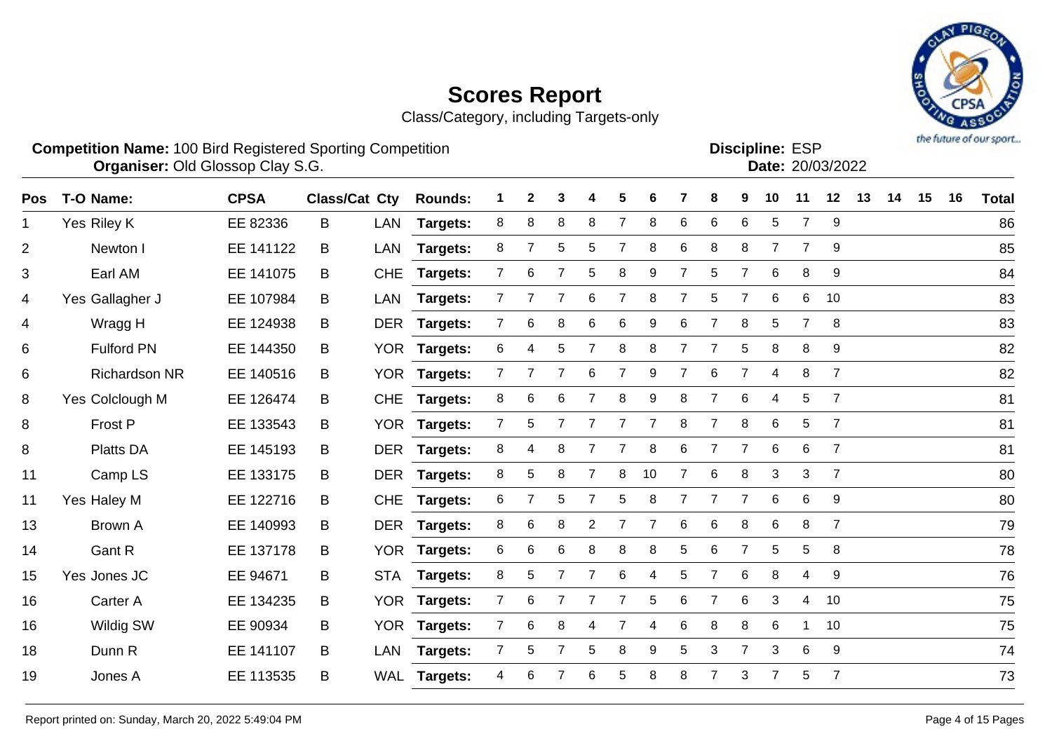Class/Category, including Targets-only



#### **Competition Name:** 100 Bird Registered Sporting Competition **EXP EXP Competition EXP Organiser:** Old Glossop Clay S.G. 2008/2022

Discipline: ESP<br>Date: 20/03/2022

| Pos | T-O Name:            | <b>CPSA</b> | Class/Cat Cty |            | <b>Rounds:</b>  |                 | 2              | 3              |                | 5              | 6  |                | 8              | 9              | 10             | 11              | 12             | 13 | 14 | 15 | 16 | <b>Total</b> |
|-----|----------------------|-------------|---------------|------------|-----------------|-----------------|----------------|----------------|----------------|----------------|----|----------------|----------------|----------------|----------------|-----------------|----------------|----|----|----|----|--------------|
| 1   | Yes Riley K          | EE 82336    | B             | LAN        | Targets:        | 8               | 8              | 8              | 8              | $\overline{7}$ | 8  | 6              | 6              | 6              | 5              | $\overline{7}$  | 9              |    |    |    |    | 86           |
| 2   | Newton I             | EE 141122   | B             | LAN        | Targets:        | 8               | $\overline{7}$ | 5              | 5              | $\overline{7}$ | 8  | 6              | $\,8\,$        | 8              | $\overline{7}$ | $\overline{7}$  | 9              |    |    |    |    | 85           |
| 3   | Earl AM              | EE 141075   | B             | <b>CHE</b> | <b>Targets:</b> | $\overline{7}$  | 6              | 7              | 5              | 8              | 9  | 7              | 5              | 7              | 6              | 8               | 9              |    |    |    |    | 84           |
| 4   | Yes Gallagher J      | EE 107984   | B             | LAN        | <b>Targets:</b> | 7 <sup>1</sup>  |                | $\overline{7}$ | 6              | $\overline{7}$ | 8  |                | 5              | $\overline{7}$ | 6              | 6               | 10             |    |    |    |    | 83           |
| 4   | Wragg H              | EE 124938   | B             |            | DER Targets:    | 7 <sup>1</sup>  | 6              | 8              | 6              | $\,6$          | 9  | 6              | $\overline{7}$ | 8              | 5              | $\overline{7}$  | 8              |    |    |    |    | 83           |
| 6   | <b>Fulford PN</b>    | EE 144350   | B             |            | YOR Targets:    | 6               | 4              | 5              | 7              | 8              | 8  |                | $\overline{7}$ | 5              | 8              | 8               | 9              |    |    |    |    | 82           |
| 6   | <b>Richardson NR</b> | EE 140516   | B             |            | YOR Targets:    | $\overline{7}$  | 7              | 7              | 6              | 7              | 9  | $\overline{7}$ | 6              | $\overline{7}$ | 4              | 8               | $\overline{7}$ |    |    |    |    | 82           |
| 8   | Yes Colclough M      | EE 126474   | B             | <b>CHE</b> | Targets:        | 8               | 6              | 6              | $\overline{7}$ | 8              | 9  | 8              | $\overline{7}$ | 6              | $\overline{4}$ | 5               | $\overline{7}$ |    |    |    |    | 81           |
| 8   | Frost P              | EE 133543   | B             |            | YOR Targets:    | $7\overline{ }$ | 5              | 7              | $\overline{7}$ | 7              | 7  | 8              | $\overline{7}$ | 8              | 6              | 5               | $\overline{7}$ |    |    |    |    | 81           |
| 8   | <b>Platts DA</b>     | EE 145193   | B             | <b>DER</b> | <b>Targets:</b> | 8               | 4              | 8              | $\overline{7}$ | 7              | 8  | 6              | $\overline{7}$ | 7              | 6              | 6               | 7              |    |    |    |    | 81           |
| 11  | Camp LS              | EE 133175   | B             |            | DER Targets:    | 8               | 5              | 8              | $\overline{7}$ | 8              | 10 | $\overline{7}$ | 6              | 8              | 3              | 3               | $\overline{7}$ |    |    |    |    | 80           |
| 11  | Yes Haley M          | EE 122716   | B             | <b>CHE</b> | <b>Targets:</b> | 6               | 7              | 5              | $\overline{7}$ | 5              | 8  |                | $\overline{7}$ | $\overline{7}$ | 6              | $6\phantom{1}6$ | 9              |    |    |    |    | 80           |
| 13  | <b>Brown A</b>       | EE 140993   | B             |            | DER Targets:    | 8               | 6              | 8              | $\overline{2}$ | 7              | 7  | 6              | 6              | 8              | 6              | 8               | 7              |    |    |    |    | 79           |
| 14  | Gant R               | EE 137178   | B             |            | YOR Targets:    | 6               | 6              | 6              | 8              | 8              | 8  | 5              | 6              | $\overline{7}$ | 5              | 5               | 8              |    |    |    |    | 78           |
| 15  | Yes Jones JC         | EE 94671    | B             | <b>STA</b> | Targets:        | 8               | 5              | 7              | $\overline{7}$ | $\,6\,$        | 4  | 5              | $\overline{7}$ | $6\phantom{1}$ | 8              | 4               | 9              |    |    |    |    | 76           |
| 16  | Carter A             | EE 134235   | B             |            | YOR Targets:    | $\overline{7}$  | 6              | 7              | $\overline{7}$ | $\overline{7}$ | 5  | 6              | 7              | 6              | 3              | 4               | 10             |    |    |    |    | 75           |
| 16  | Wildig SW            | EE 90934    | B             |            | YOR Targets:    | $\overline{7}$  | 6              | 8              | 4              | 7              | 4  | 6              | 8              | 8              | 6              | 1               | 10             |    |    |    |    | 75           |
| 18  | Dunn R               | EE 141107   | B             | LAN        | Targets:        | $\overline{7}$  | 5              | 7              | 5              | 8              | 9  | 5.             | 3              | $\overline{7}$ | 3              | 6               | 9              |    |    |    |    | 74           |
| 19  | Jones A              | EE 113535   | B             |            | WAL Targets:    | 4               | 6              |                | 6              | 5              | 8  | 8              | $\overline{7}$ | 3              | $\overline{7}$ | 5               | $\overline{7}$ |    |    |    |    | 73           |
|     |                      |             |               |            |                 |                 |                |                |                |                |    |                |                |                |                |                 |                |    |    |    |    |              |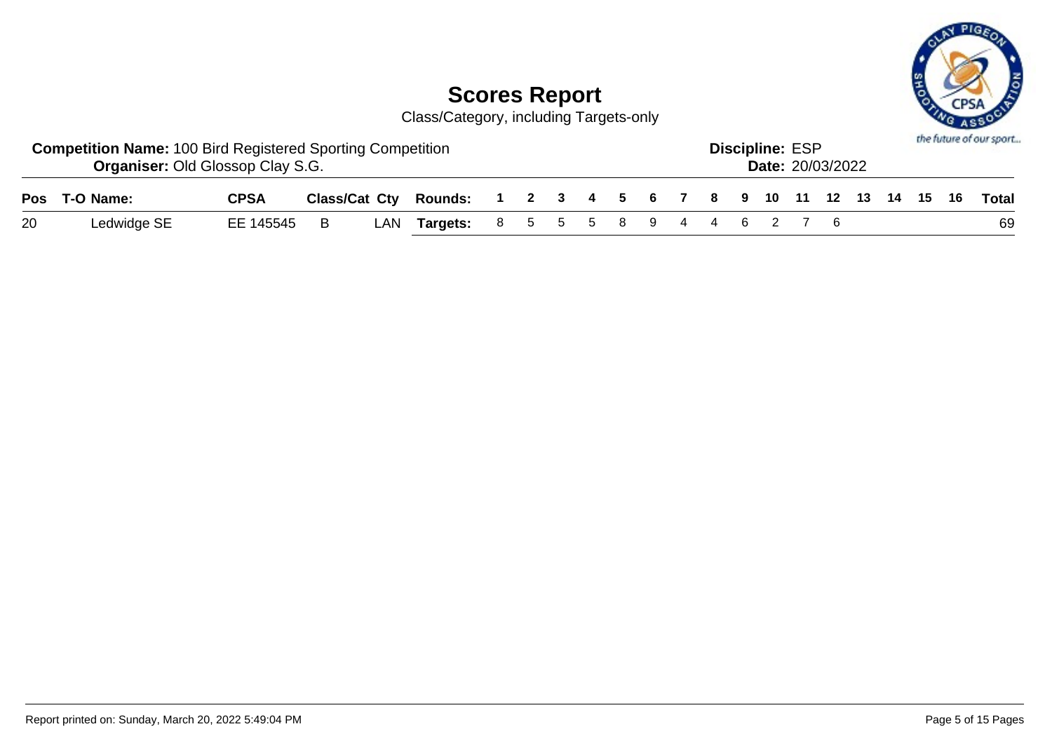

|    | <b>Competition Name: 100 Bird Registered Sporting Competition</b><br><b>Organiser: Old Glossop Clay S.G.</b> |              |  |                                                                    |  |  |  |  | <b>Discipline: ESP</b> | <b>Date: 20/03/2022</b> |  |  | the future of our sport |
|----|--------------------------------------------------------------------------------------------------------------|--------------|--|--------------------------------------------------------------------|--|--|--|--|------------------------|-------------------------|--|--|-------------------------|
|    | Pos T-O Name:                                                                                                | <b>CPSA</b>  |  | Class/Cat Cty Rounds: 1 2 3 4 5 6 7 8 9 10 11 12 13 14 15 16 Total |  |  |  |  |                        |                         |  |  |                         |
| 20 | Ledwidge SE                                                                                                  | EE 145545  B |  | LAN Targets: 8 5 5 5 8 9 4 4 6 2 7 6                               |  |  |  |  |                        |                         |  |  | 69                      |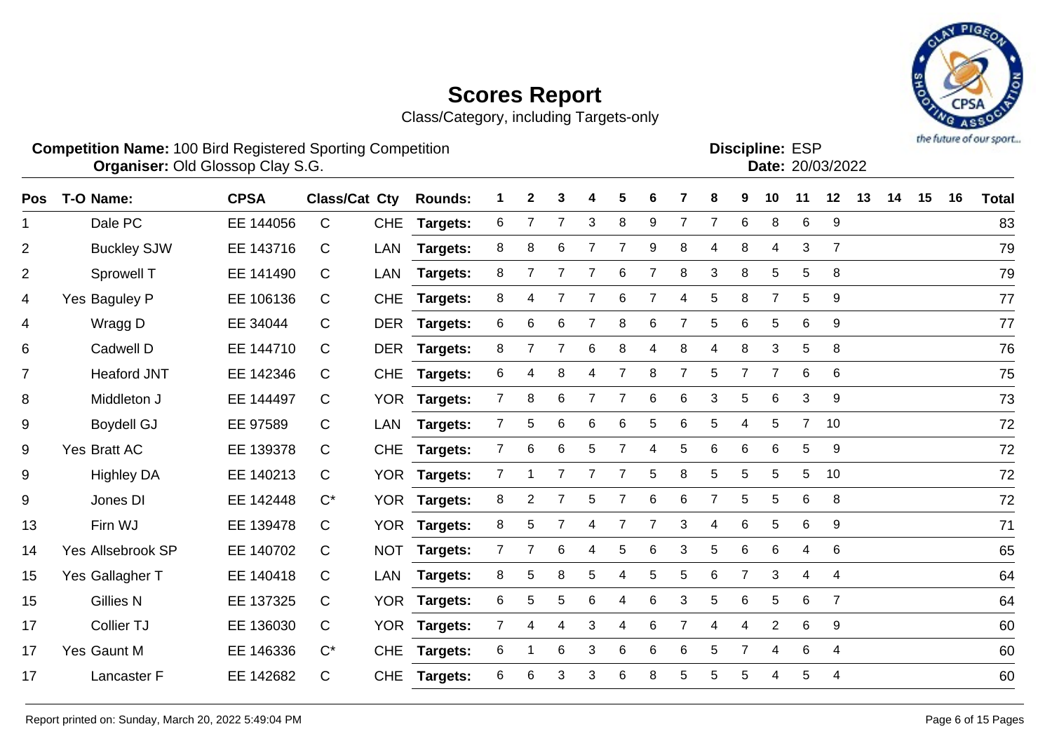Class/Category, including Targets-only



**Competition Name:** 100 Bird Registered Sporting Competition **EXP EXP Competition EXP Organiser:** Old Glossop Clay S.G. 2008/2022

**Discipline:**

| סטו <b>וווופ.</b> בטר |                  |
|-----------------------|------------------|
|                       | Date: 20/03/2022 |
|                       |                  |

| <b>Pos</b>     | T-O Name:          | <b>CPSA</b> | <b>Class/Cat Cty</b> |            | <b>Rounds:</b>  |                | 2          | 3               |    | 5              |                |   | 8              | 9 | 10             | 11             | 12               | 13 | 14 | 15 | 16 | <b>Total</b> |
|----------------|--------------------|-------------|----------------------|------------|-----------------|----------------|------------|-----------------|----|----------------|----------------|---|----------------|---|----------------|----------------|------------------|----|----|----|----|--------------|
| 1              | Dale PC            | EE 144056   | $\mathsf{C}$         | <b>CHE</b> | <b>Targets:</b> | 6              |            |                 | 3  | 8              | 9              | 7 | $\overline{7}$ | 6 | 8              | 6              | 9                |    |    |    |    | 83           |
| $\overline{2}$ | <b>Buckley SJW</b> | EE 143716   | C                    | LAN        | Targets:        | 8              | 8          | 6               |    | 7              | 9              | 8 | 4              | 8 | 4              | 3              | 7                |    |    |    |    | 79           |
| $\overline{2}$ | Sprowell T         | EE 141490   | C                    | LAN        | Targets:        | 8              | 7          | 7               |    | 6              |                | 8 | 3              | 8 | 5              | 5              | 8                |    |    |    |    | 79           |
| 4              | Yes Baguley P      | EE 106136   | C                    | <b>CHE</b> | <b>Targets:</b> | 8              | 4          | $\overline{7}$  | 7  | 6              | $\overline{7}$ | 4 | 5              | 8 | $\overline{7}$ | 5              | $\boldsymbol{9}$ |    |    |    |    | 77           |
| 4              | Wragg D            | EE 34044    | $\mathsf{C}$         |            | DER Targets:    | 6              | 6          | 6               |    | 8              | 6              | 7 | 5              | 6 | 5              | 6              | 9                |    |    |    |    | 77           |
| 6              | Cadwell D          | EE 144710   | C                    | DER        | <b>Targets:</b> | 8              | 7          | 7               | 6  | 8              | 4              | 8 | 4              | 8 | 3              | 5              | 8                |    |    |    |    | 76           |
| $\overline{7}$ | <b>Heaford JNT</b> | EE 142346   | $\mathsf{C}$         | <b>CHE</b> | Targets:        | 6              | 4          | 8               | 4  | $\overline{7}$ | 8              | 7 | 5              | 7 | $\overline{7}$ | 6              | 6                |    |    |    |    | 75           |
| 8              | Middleton J        | EE 144497   | $\mathsf{C}$         |            | YOR Targets:    | 7 <sup>1</sup> | 8          | 6               |    | 7              | 6              | 6 | 3              | 5 | 6              | 3              | 9                |    |    |    |    | 73           |
| 9              | <b>Boydell GJ</b>  | EE 97589    | $\mathsf{C}$         | LAN        | <b>Targets:</b> | $\overline{7}$ | 5          | $6\phantom{1}6$ | 6  | 6              | 5              | 6 | 5              | 4 | 5              | $\overline{7}$ | 10               |    |    |    |    | 72           |
| 9              | Yes Bratt AC       | EE 139378   | $\mathsf{C}$         | <b>CHE</b> | <b>Targets:</b> | $\overline{7}$ | 6          | 6               | 5  |                |                | 5 | 6              | 6 | 6              | 5              | 9                |    |    |    |    | 72           |
| 9              | <b>Highley DA</b>  | EE 140213   | C                    | <b>YOR</b> | Targets:        |                |            |                 |    |                | 5              | 8 | 5              | 5 | 5              | 5              | 10               |    |    |    |    | 72           |
| 9              | Jones DI           | EE 142448   | $C^*$                |            | YOR Targets:    | 8              | 2          | 7               | 5  | 7              | 6              | 6 | $\overline{7}$ | 5 | 5              | 6              | 8                |    |    |    |    | 72           |
| 13             | Firn WJ            | EE 139478   | C                    |            | YOR Targets:    | 8              | $\sqrt{5}$ | 7               | 4  | 7              | 7              | 3 | 4              | 6 | 5              | 6              | $\boldsymbol{9}$ |    |    |    |    | 71           |
| 14             | Yes Allsebrook SP  | EE 140702   | C                    |            | NOT Targets:    | $\overline{7}$ | 7          | 6               | 4  | 5              | 6              | 3 | 5              | 6 | 6              | 4              | 6                |    |    |    |    | 65           |
| 15             | Yes Gallagher T    | EE 140418   | C                    | LAN        | <b>Targets:</b> | 8              | 5          | 8               | 5. | 4              | 5              | 5 | 6              | 7 | 3              | 4              | 4                |    |    |    |    | 64           |
| 15             | <b>Gillies N</b>   | EE 137325   | $\mathsf{C}$         | YOR        | <b>Targets:</b> | 6              | 5          | 5               | 6  | 4              | 6              | 3 | 5              | 6 | 5              | 6              | 7                |    |    |    |    | 64           |
| 17             | Collier TJ         | EE 136030   | $\mathsf{C}$         |            | YOR Targets:    | 7 <sup>1</sup> | 4          | 4               | 3  | 4              | 6              | 7 | 4              | 4 | $\overline{2}$ | 6              | 9                |    |    |    |    | 60           |
| 17             | Yes Gaunt M        | EE 146336   | $C^*$                | <b>CHE</b> | <b>Targets:</b> | 6              |            | $\,6$           | 3  | 6              | 6              | 6 | 5              | 7 | 4              | 6              | 4                |    |    |    |    | 60           |
| 17             | Lancaster F        | EE 142682   | $\mathsf{C}$         | <b>CHE</b> | <b>Targets:</b> | 6              | 6          | 3               | 3  | 6              | 8              | 5 | 5.             | 5 | 4              | 5              | 4                |    |    |    |    | 60           |
|                |                    |             |                      |            |                 |                |            |                 |    |                |                |   |                |   |                |                |                  |    |    |    |    |              |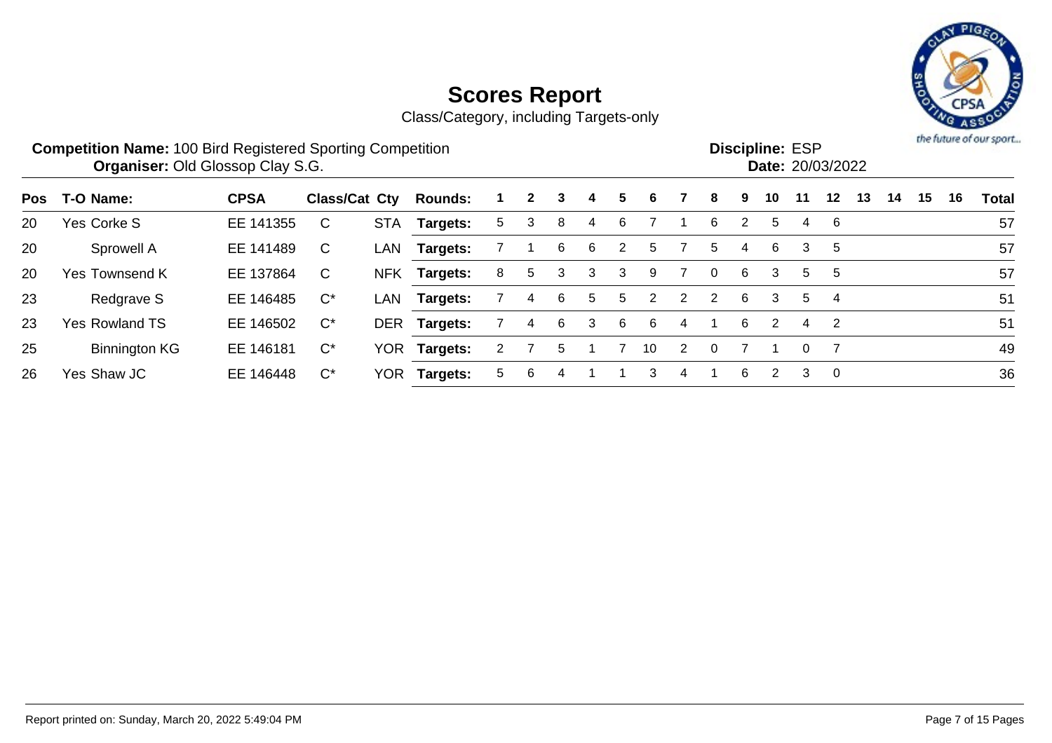

|     | <b>Competition Name: 100 Bird Registered Sporting Competition</b><br><b>Organiser: Old Glossop Clay S.G.</b> |             |                      |            |                 |    |              |   |    |   |                       |               |                |   | <b>Discipline: ESP</b><br>Date: 20/03/2022 |          |                |    |    |    |    | the future of our sport |
|-----|--------------------------------------------------------------------------------------------------------------|-------------|----------------------|------------|-----------------|----|--------------|---|----|---|-----------------------|---------------|----------------|---|--------------------------------------------|----------|----------------|----|----|----|----|-------------------------|
| Pos | T-O Name:                                                                                                    | <b>CPSA</b> | <b>Class/Cat Cty</b> |            | <b>Rounds:</b>  |    | $\mathbf{2}$ | 3 | 4  | 5 | 6                     |               | 8              | 9 | 10                                         | 11       | 12             | 13 | 14 | 15 | 16 | Total                   |
| 20  | Yes Corke S                                                                                                  | EE 141355   | C                    | <b>STA</b> | <b>Targets:</b> | 5. | 3            | 8 | 4  | 6 |                       |               | 6              | 2 | 5                                          | 4        | 6              |    |    |    |    | 57                      |
| 20  | Sprowell A                                                                                                   | EE 141489   | C                    | LAN        | Targets:        |    |              | 6 | -6 | 2 | 5.                    |               | 5              | 4 | 6                                          | 3        | 5              |    |    |    |    | 57                      |
| -20 | Yes Townsend K                                                                                               | EE 137864   | C                    | <b>NFK</b> | Targets:        | 8  | 5            | 3 | 3  | 3 | 9                     |               | $\Omega$       | 6 | 3                                          | 5        | 5              |    |    |    |    | 57                      |
| 23  | Redgrave S                                                                                                   | EE 146485   | $\mathsf{C}^\star$   | LAN        | <b>Targets:</b> |    | 4            | 6 | 5  | 5 | $\mathbf{2}^{\prime}$ | $2^{\circ}$   | $\overline{2}$ | 6 | 3                                          | 5        | $\overline{4}$ |    |    |    |    | 51                      |
| 23  | <b>Yes Rowland TS</b>                                                                                        | EE 146502   | $\mathrm{C}^*$       |            | DER Targets:    |    | 4            | 6 | 3  | 6 | 6                     | 4             |                | 6 | 2                                          | 4        | $\overline{2}$ |    |    |    |    | 51                      |
| 25  | <b>Binnington KG</b>                                                                                         | EE 146181   | $C^*$                |            | YOR Targets:    |    |              | 5 |    |   | 10                    | $\mathcal{P}$ |                |   |                                            | $\Omega$ |                |    |    |    |    | 49                      |
| 26  | Yes Shaw JC                                                                                                  | EE 146448   | $C^*$                | <b>YOR</b> | Targets:        | 5. | 6            | 4 |    |   | 3                     | 4             |                | 6 | 2                                          | 3        | $\Omega$       |    |    |    |    | 36                      |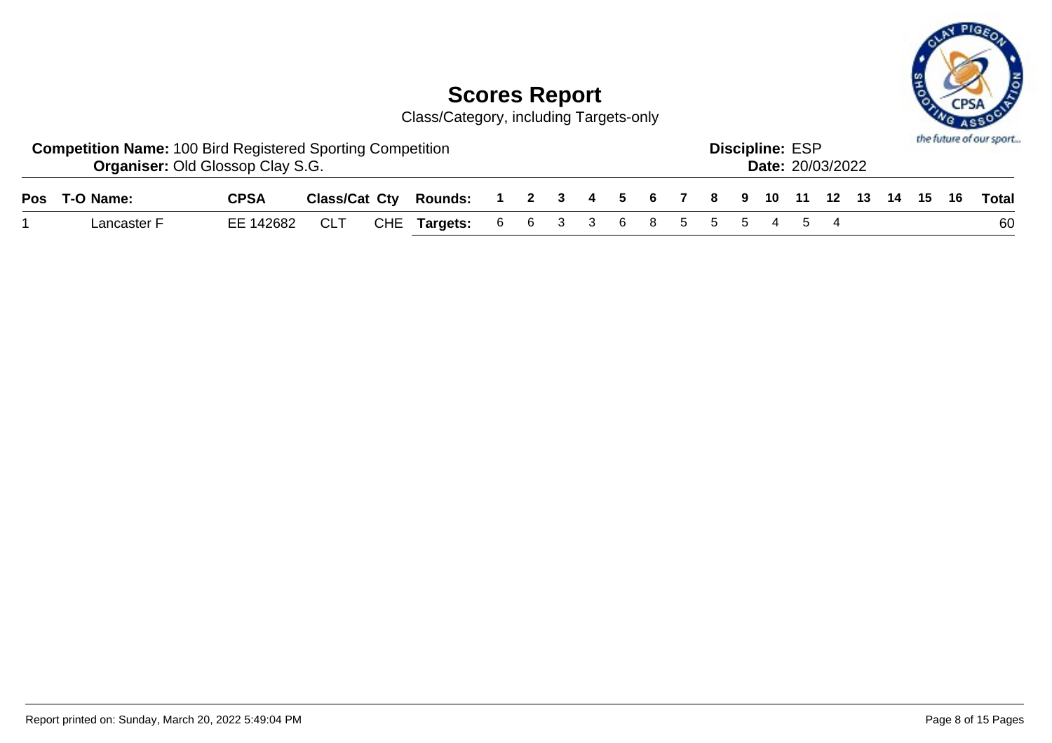

| <b>Competition Name: 100 Bird Registered Sporting Competition</b><br><b>Organiser: Old Glossop Clay S.G.</b> |             |     |                                                                    |  |  |  |  | <b>Discipline: ESP</b> | <b>Date: 20/03/2022</b> |  |  | the future of our sport |
|--------------------------------------------------------------------------------------------------------------|-------------|-----|--------------------------------------------------------------------|--|--|--|--|------------------------|-------------------------|--|--|-------------------------|
| Pos T-O Name:                                                                                                | <b>CPSA</b> |     | Class/Cat Cty Rounds: 1 2 3 4 5 6 7 8 9 10 11 12 13 14 15 16 Total |  |  |  |  |                        |                         |  |  |                         |
| Lancaster F                                                                                                  | EE 142682   | CLT | CHE Targets: 6 6 3 3 6 8 5 5 5 4 5 4                               |  |  |  |  |                        |                         |  |  | 60                      |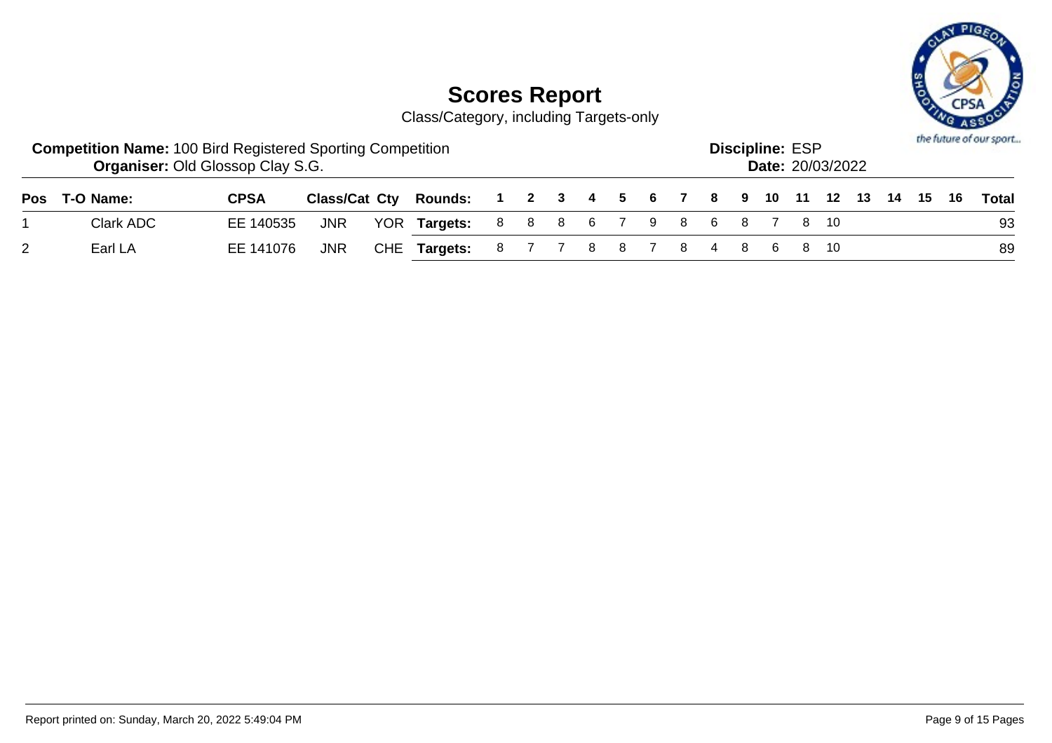

| <b>Competition Name: 100 Bird Registered Sporting Competition</b> | <b>Organiser: Old Glossop Clay S.G.</b> |            |                                                              |  |  |  |  | <b>Discipline: ESP</b> | <b>Date: 20/03/2022</b> |  |  | the future of our sport |
|-------------------------------------------------------------------|-----------------------------------------|------------|--------------------------------------------------------------|--|--|--|--|------------------------|-------------------------|--|--|-------------------------|
| Pos T-O Name:                                                     | <b>CPSA</b>                             |            | Class/Cat Cty Rounds: 1 2 3 4 5 6 7 8 9 10 11 12 13 14 15 16 |  |  |  |  |                        |                         |  |  | Total                   |
| Clark ADC                                                         | EE 140535                               | <b>JNR</b> | YOR Targets: 8 8 8 6 7 9 8 6 8 7 8 10                        |  |  |  |  |                        |                         |  |  | 93                      |
| Earl LA                                                           | EE 141076                               | JNR        | CHE Targets: 8 7 7 8 8 7 8 4 8 6 8 10                        |  |  |  |  |                        |                         |  |  | 89                      |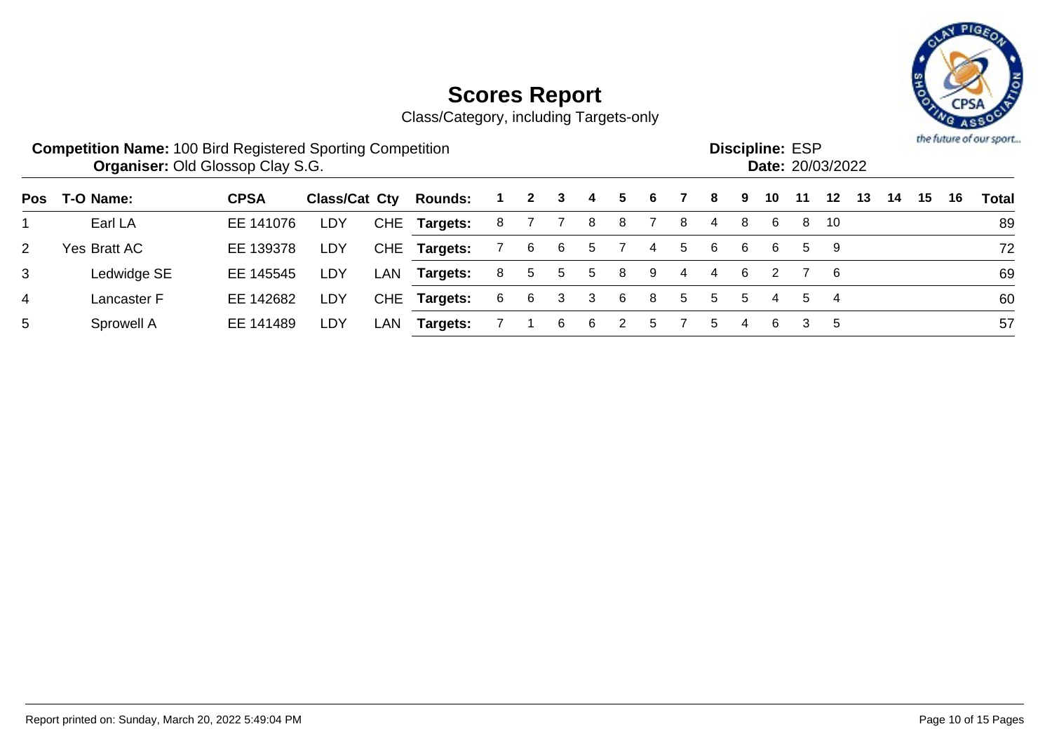

|                | <b>Competition Name: 100 Bird Registered Sporting Competition</b><br><b>Organiser: Old Glossop Clay S.G.</b> |             |               |     |                |   |              |    |    |    |          |   |    |    | <b>Discipline: ESP</b> |    | Date: 20/03/2022 |    |    |    |    | the future of our sport |
|----------------|--------------------------------------------------------------------------------------------------------------|-------------|---------------|-----|----------------|---|--------------|----|----|----|----------|---|----|----|------------------------|----|------------------|----|----|----|----|-------------------------|
| <b>Pos</b>     | T-O Name:                                                                                                    | <b>CPSA</b> | Class/Cat Cty |     | <b>Rounds:</b> |   | $\mathbf{2}$ | 3  | -4 | 5. | 6.       |   | 8  | 9  | 10                     | 11 | 12               | 13 | 14 | 15 | 16 | Total                   |
|                | Earl LA                                                                                                      | EE 141076   | LDY           |     | CHE Targets:   | 8 |              |    | 8  | 8  |          | 8 | 4  | 8  | -6                     |    | 8 10             |    |    |    |    | 89                      |
| $\overline{2}$ | Yes Bratt AC                                                                                                 | EE 139378   | LDY           |     | CHE Targets:   |   | 6            | -6 | 5  |    | 4        | 5 | 6  | 6  | 6                      |    | 59               |    |    |    |    | 72                      |
| 3              | Ledwidge SE                                                                                                  | EE 145545   | LDY           | LAN | Targets:       | 8 | 5            | 5  | 5  | 8  | 9        | 4 | 4  | 6  |                        |    | - 6              |    |    |    |    | 69                      |
| $\overline{4}$ | Lancaster F                                                                                                  | EE 142682   | LDY           |     | CHE Targets:   | 6 | 6            | 3  | 3  | 6  | 8        | 5 | 5  | -5 | 4                      | 5. | 4                |    |    |    |    | 60                      |
| 5              | Sprowell A                                                                                                   | EE 141489   | LDY           | LAN | Targets:       |   |              | 6  | -6 |    | <u>5</u> |   | 5. | 4  | 6                      | 3  | 5                |    |    |    |    | 57                      |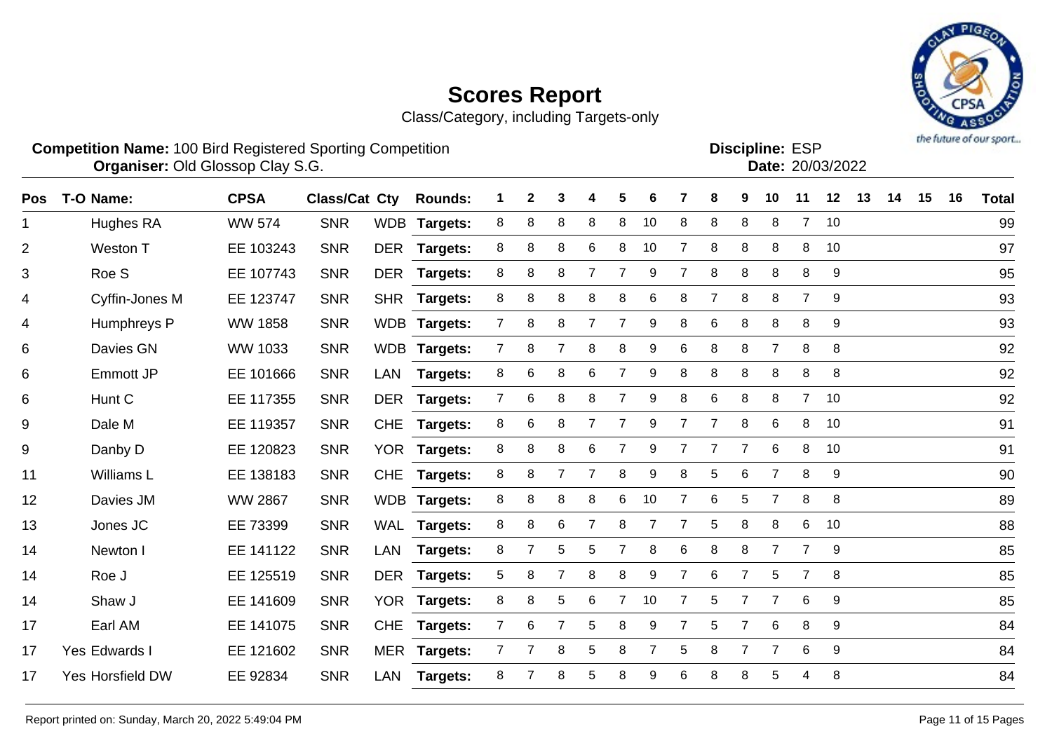

| <b>Competition Name: 100 Bird Registered Sporting Competition</b> | <b>Discipline: ESP</b> |
|-------------------------------------------------------------------|------------------------|
| <b>Organiser: Old Glossop Clay S.G.</b>                           | Date: 20/03/2022       |
|                                                                   |                        |

| <b>Pos</b> | T-O Name:               | <b>CPSA</b>    | <b>Class/Cat Cty</b> |            | <b>Rounds:</b>  |                | $\mathbf{2}$   | 3              |                | 5              | 6              |                | 8              | 9              | 10              | 11             | 12 | 13 | 14 | 15 | 16 | <b>Total</b> |
|------------|-------------------------|----------------|----------------------|------------|-----------------|----------------|----------------|----------------|----------------|----------------|----------------|----------------|----------------|----------------|-----------------|----------------|----|----|----|----|----|--------------|
| 1          | Hughes RA               | <b>WW 574</b>  | <b>SNR</b>           |            | WDB Targets:    | 8              | 8              | 8              | 8              | 8              | 10             | 8              | 8              | 8              | 8               | $\overline{7}$ | 10 |    |    |    |    | 99           |
| 2          | Weston T                | EE 103243      | <b>SNR</b>           |            | DER Targets:    | 8              | 8              | 8              | 6              | 8              | 10             |                | 8              | 8              | 8               | 8              | 10 |    |    |    |    | 97           |
| 3          | Roe S                   | EE 107743      | <b>SNR</b>           | <b>DER</b> | Targets:        | 8              | 8              | 8              |                |                | 9              |                | 8              | 8              | 8               | 8              | 9  |    |    |    |    | 95           |
| 4          | Cyffin-Jones M          | EE 123747      | <b>SNR</b>           | <b>SHR</b> | Targets:        | 8              | 8              | 8              | 8              | 8              | 6              | 8              | $\overline{7}$ | 8              | 8               | $\overline{7}$ | 9  |    |    |    |    | 93           |
| 4          | Humphreys P             | <b>WW 1858</b> | <b>SNR</b>           |            | WDB Targets:    | $7^{\circ}$    | 8              | 8              | 7              | 7              | 9              | 8              | 6              | 8              | 8               | 8              | 9  |    |    |    |    | 93           |
| 6          | Davies GN               | WW 1033        | <b>SNR</b>           |            | WDB Targets:    | $\overline{7}$ | 8              | $\overline{7}$ | 8              | 8              | 9              | 6              | 8              | 8              | $\overline{7}$  | 8              | 8  |    |    |    |    | 92           |
| 6          | Emmott JP               | EE 101666      | <b>SNR</b>           | LAN        | <b>Targets:</b> | 8              | 6              | 8              | 6              | $\overline{7}$ | 9              | 8              | 8              | 8              | 8               | 8              | 8  |    |    |    |    | 92           |
| 6          | Hunt C                  | EE 117355      | <b>SNR</b>           | DER        | <b>Targets:</b> | $\overline{7}$ | 6              | 8              | 8              | 7              | 9              | 8              | 6              | 8              | 8               | 7 <sup>1</sup> | 10 |    |    |    |    | 92           |
| 9          | Dale M                  | EE 119357      | <b>SNR</b>           | <b>CHE</b> | <b>Targets:</b> | 8              | 6              | 8              | $\overline{7}$ | $\overline{7}$ | 9              |                | $\overline{7}$ | 8              | 6               | 8              | 10 |    |    |    |    | 91           |
| $9\,$      | Danby D                 | EE 120823      | <b>SNR</b>           |            | YOR Targets:    | 8              | 8              | 8              | 6              | $\overline{7}$ | 9              |                | $\overline{7}$ | $\overline{7}$ | $6\phantom{1}6$ | 8              | 10 |    |    |    |    | 91           |
| 11         | Williams L              | EE 138183      | <b>SNR</b>           | <b>CHE</b> | Targets:        | 8              | 8              | $\overline{7}$ | $\overline{7}$ | 8              | 9              | 8              | 5              | 6              | $\overline{7}$  | 8              | 9  |    |    |    |    | 90           |
| 12         | Davies JM               | <b>WW 2867</b> | <b>SNR</b>           |            | WDB Targets:    | 8              | 8              | 8              | 8              | 6              | 10             |                | 6              | 5              | $\overline{7}$  | 8              | 8  |    |    |    |    | 89           |
| 13         | Jones JC                | EE 73399       | <b>SNR</b>           |            | WAL Targets:    | 8              | 8              | 6              | $\overline{7}$ | 8              | $\overline{7}$ | $\overline{7}$ | 5              | 8              | 8               | 6              | 10 |    |    |    |    | 88           |
| 14         | Newton I                | EE 141122      | <b>SNR</b>           | LAN        | Targets:        | 8              | $\overline{7}$ | 5              | 5              | $\overline{7}$ | 8              | 6              | 8              | 8              | $\overline{7}$  | $\overline{7}$ | 9  |    |    |    |    | 85           |
| 14         | Roe J                   | EE 125519      | <b>SNR</b>           |            | DER Targets:    | 5              | 8              | $\overline{7}$ | 8              | 8              | 9              | $\overline{7}$ | 6              | $\overline{7}$ | $\overline{5}$  | $\overline{7}$ | 8  |    |    |    |    | 85           |
| 14         | Shaw J                  | EE 141609      | <b>SNR</b>           |            | YOR Targets:    | 8              | 8              | 5              | 6              | $\overline{7}$ | 10             | $\overline{7}$ | 5              | $\overline{7}$ | $\overline{7}$  | 6              | 9  |    |    |    |    | 85           |
| 17         | Earl AM                 | EE 141075      | <b>SNR</b>           | <b>CHE</b> | Targets:        | 7              | 6              | $\overline{7}$ | 5              | 8              | 9              |                | 5              | 7              | 6               | 8              | 9  |    |    |    |    | 84           |
| 17         | Yes Edwards I           | EE 121602      | <b>SNR</b>           |            | MER Targets:    | $\overline{7}$ | $\overline{7}$ | 8              | 5              | 8              | 7              | 5              | 8              | $\overline{7}$ | 7               | 6              | 9  |    |    |    |    | 84           |
| 17         | <b>Yes Horsfield DW</b> | EE 92834       | <b>SNR</b>           | LAN        | <b>Targets:</b> | 8              | 7              | 8              | 5              | 8              | 9              | 6              | 8              | 8              | 5               | 4              | 8  |    |    |    |    | 84           |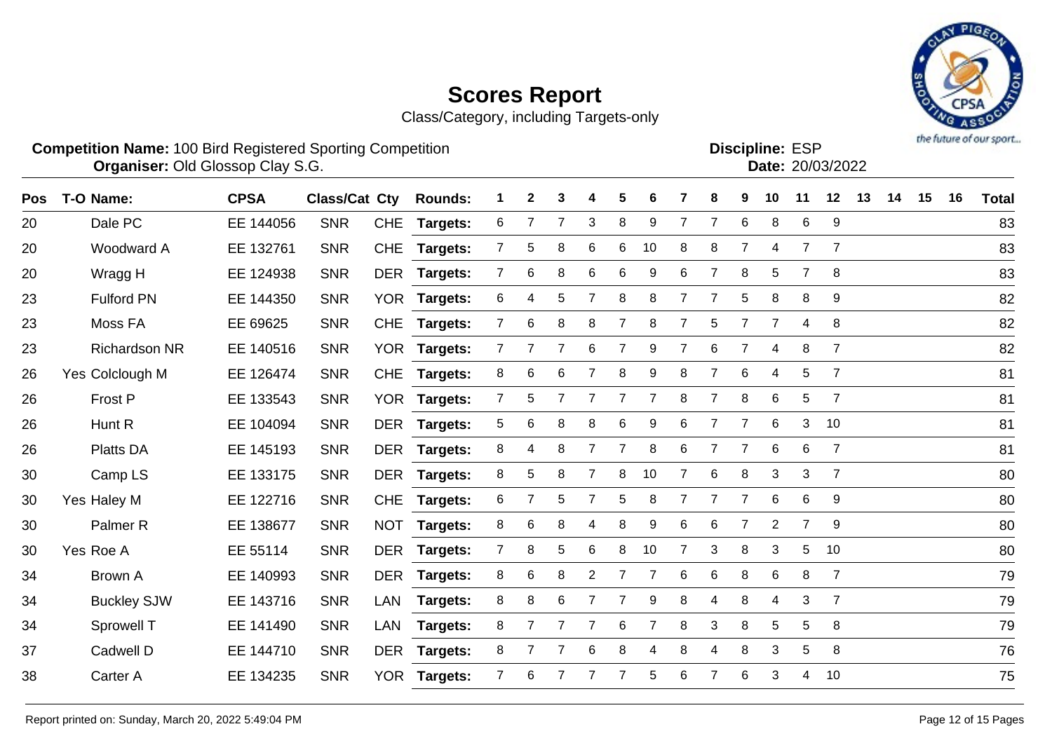

| <b>Competition Name: 100 Bird Registered Sporting Competition</b> | <b>Organiser: Old Glossop Clay S.G.</b> |                              |  |  |  |  |                             |  | <b>Discipline: ESP</b> | Date: 20/03/2022 |  |
|-------------------------------------------------------------------|-----------------------------------------|------------------------------|--|--|--|--|-----------------------------|--|------------------------|------------------|--|
| Pos T-O Name:                                                     | <b>CPSA</b>                             | <b>Class/Cat Cty Rounds:</b> |  |  |  |  | 2 3 4 5 6 7 8 9 10 11 12 13 |  |                        |                  |  |

| Pos | T-O Name:            | <b>CPSA</b> | <b>Class/Cat Cty</b> |            | <b>Rounds:</b>  |                | $\mathbf{2}$ | 3 |                | 5              | 6              |                | 8              | 9              | 10             | 11             | 12             | 13 | 14 | 15 | 16 | <b>Total</b> |
|-----|----------------------|-------------|----------------------|------------|-----------------|----------------|--------------|---|----------------|----------------|----------------|----------------|----------------|----------------|----------------|----------------|----------------|----|----|----|----|--------------|
| 20  | Dale PC              | EE 144056   | <b>SNR</b>           | <b>CHE</b> | Targets:        | 6              |              | 7 | 3              | 8              | 9              | 7              | $\overline{7}$ | 6              | 8              | 6              | 9              |    |    |    |    | 83           |
| 20  | Woodward A           | EE 132761   | <b>SNR</b>           |            | CHE Targets:    | 7              | 5            | 8 | 6              | 6              | 10             | 8              | 8              | $\overline{7}$ | 4              | $\overline{7}$ | 7              |    |    |    |    | 83           |
| 20  | Wragg H              | EE 124938   | <b>SNR</b>           |            | DER Targets:    | $\overline{7}$ | 6            | 8 | 6              | 6              | 9              | 6              | $\overline{7}$ | 8              | 5              | $\overline{7}$ | 8              |    |    |    |    | 83           |
| 23  | <b>Fulford PN</b>    | EE 144350   | <b>SNR</b>           |            | YOR Targets:    | 6              | 4            | 5 | $\overline{7}$ | 8              | 8              | $\overline{7}$ | 7              | 5              | 8              | 8              | 9              |    |    |    |    | 82           |
| 23  | Moss FA              | EE 69625    | <b>SNR</b>           | <b>CHE</b> | <b>Targets:</b> | $\mathbf{7}$   | 6            | 8 | 8              | 7              | 8              | $\overline{7}$ | 5              | $\overline{7}$ | $\overline{7}$ | 4              | 8              |    |    |    |    | 82           |
| 23  | <b>Richardson NR</b> | EE 140516   | <b>SNR</b>           | YOR        | <b>Targets:</b> | 7              |              | 7 | 6              |                | 9              |                | 6              |                | 4              | 8              | $\overline{7}$ |    |    |    |    | 82           |
| 26  | Yes Colclough M      | EE 126474   | <b>SNR</b>           |            | CHE Targets:    | 8              | 6            | 6 | $\overline{7}$ | 8              | 9              | 8              | $\overline{7}$ | 6              | $\overline{4}$ | 5              | $\overline{7}$ |    |    |    |    | 81           |
| 26  | Frost P              | EE 133543   | <b>SNR</b>           |            | YOR Targets:    | $\overline{7}$ | 5            | 7 |                | $\overline{7}$ | $\overline{7}$ | 8              | $\overline{7}$ | 8              | 6              | 5              | $\overline{7}$ |    |    |    |    | 81           |
| 26  | Hunt R               | EE 104094   | <b>SNR</b>           |            | DER Targets:    | 5              | 6            | 8 | 8              | 6              | 9              | 6              | 7              | $\overline{7}$ | 6              | 3              | 10             |    |    |    |    | 81           |
| 26  | <b>Platts DA</b>     | EE 145193   | <b>SNR</b>           |            | DER Targets:    | 8              | 4            | 8 |                |                | 8              | 6              |                | $\overline{7}$ | 6              | 6              | $\overline{7}$ |    |    |    |    | 81           |
| 30  | Camp LS              | EE 133175   | <b>SNR</b>           | <b>DER</b> | <b>Targets:</b> | 8              | 5            | 8 |                | 8              | 10             |                | 6              | 8              | 3              | 3              | $\overline{7}$ |    |    |    |    | 80           |
| 30  | Yes Haley M          | EE 122716   | <b>SNR</b>           | <b>CHE</b> | <b>Targets:</b> | 6              |              | 5 | 7              | 5              | 8              |                | 7              | $\overline{7}$ | 6              | 6              | 9              |    |    |    |    | 80           |
| 30  | Palmer <sub>R</sub>  | EE 138677   | <b>SNR</b>           |            | NOT Targets:    | 8              | 6            | 8 | 4              | 8              | 9              | 6              | 6              | $\overline{7}$ | $\overline{2}$ | $\overline{7}$ | 9              |    |    |    |    | 80           |
| 30  | Yes Roe A            | EE 55114    | <b>SNR</b>           |            | DER Targets:    | $\overline{7}$ | 8            | 5 | 6              | 8              | 10             | $\overline{7}$ | 3              | 8              | 3              | 5              | 10             |    |    |    |    | 80           |
| 34  | Brown A              | EE 140993   | <b>SNR</b>           |            | DER Targets:    | 8              | 6            | 8 | $\overline{2}$ | 7              | $\overline{7}$ | 6              | 6              | 8              | 6              | 8              | $\overline{7}$ |    |    |    |    | 79           |
| 34  | <b>Buckley SJW</b>   | EE 143716   | <b>SNR</b>           | LAN        | <b>Targets:</b> | 8              | 8            | 6 | $\mathbf{7}$   | 7              | 9              | 8              | 4              | 8              | 4              | 3              | $\overline{7}$ |    |    |    |    | 79           |
| 34  | Sprowell T           | EE 141490   | <b>SNR</b>           | LAN        | Targets:        | 8              | 7            | 7 |                | 6              | 7              | 8              | 3              | 8              | 5              | 5              | 8              |    |    |    |    | 79           |
| 37  | Cadwell D            | EE 144710   | <b>SNR</b>           |            | DER Targets:    | 8              |              | 7 | 6              | 8              | 4              | 8              | 4              | 8              | 3              | 5              | 8              |    |    |    |    | 76           |
| 38  | Carter A             | EE 134235   | <b>SNR</b>           |            | YOR Targets:    | $\overline{7}$ | 6            |   |                |                | 5              | 6              |                | 6              | 3              | 4              | 10             |    |    |    |    | 75           |
|     |                      |             |                      |            |                 |                |              |   |                |                |                |                |                |                |                |                |                |    |    |    |    |              |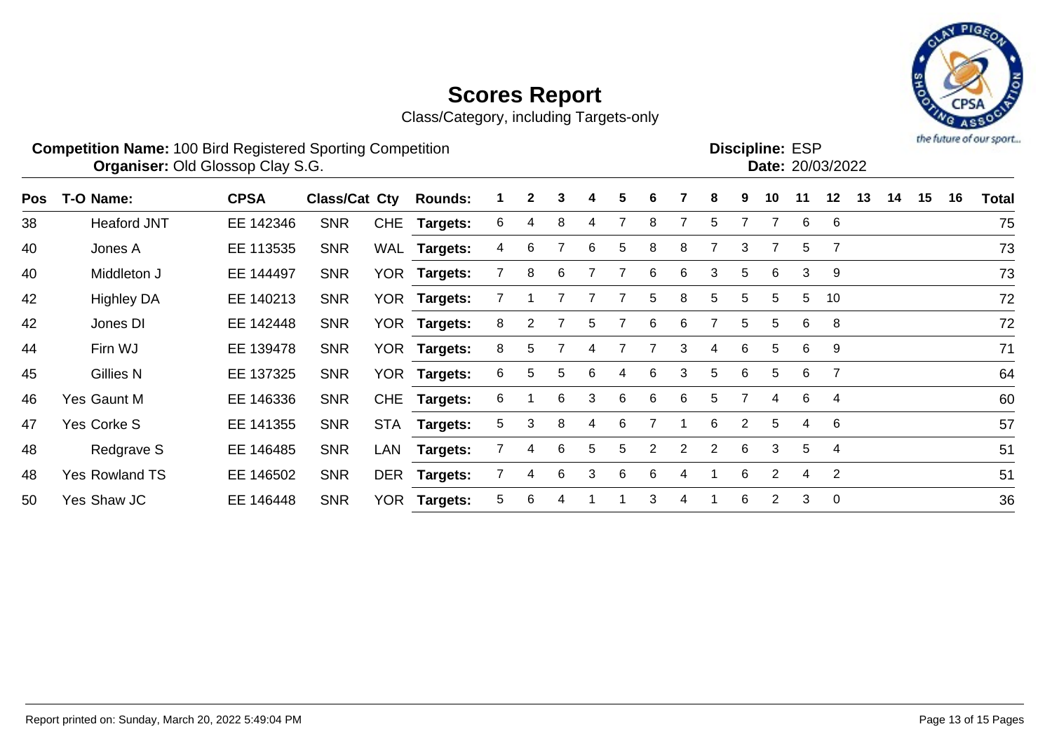Class/Category, including Targets-only



|     | <b>Competition Name: 100 Bird Registered Sporting Competition</b><br><b>Organiser: Old Glossop Clay S.G.</b> |             |               |            |                 |    |              |   |   |    | <b>Discipline: ESP</b><br>Date: 20/03/2022 | the intensive or one sport |   |   |    |    |    |    |    |    |    |              |
|-----|--------------------------------------------------------------------------------------------------------------|-------------|---------------|------------|-----------------|----|--------------|---|---|----|--------------------------------------------|----------------------------|---|---|----|----|----|----|----|----|----|--------------|
| Pos | T-O Name:                                                                                                    | <b>CPSA</b> | Class/Cat Cty |            | <b>Rounds:</b>  |    | $\mathbf{2}$ | 3 | 4 | 5. | 6                                          |                            | 8 | 9 | 10 | 11 | 12 | 13 | 14 | 15 | 16 | <b>Total</b> |
| 38  | <b>Heaford JNT</b>                                                                                           | EE 142346   | <b>SNR</b>    |            | CHE Targets:    | 6  | 4            | 8 | 4 |    | 8                                          |                            | 5 |   |    | 6  | 6  |    |    |    |    | 75           |
| 40  | Jones A                                                                                                      | EE 113535   | <b>SNR</b>    |            | WAL Targets:    | 4  | 6            |   | 6 | 5  | 8                                          | 8                          |   | 3 |    | 5  |    |    |    |    |    | 73           |
| 40  | Middleton J                                                                                                  | EE 144497   | <b>SNR</b>    | <b>YOR</b> | <b>Targets:</b> |    | 8            | 6 |   |    | 6                                          | 6                          | 3 | 5 | 6  | 3  | -9 |    |    |    |    | 73           |
| 42  | <b>Highley DA</b>                                                                                            | EE 140213   | <b>SNR</b>    | YOR.       | Targets:        |    |              |   |   |    | 5                                          | 8                          | 5 | 5 | 5  | 5  | 10 |    |    |    |    | 72           |
| 42  | Jones DI                                                                                                     | EE 142448   | <b>SNR</b>    |            | YOR Targets:    | 8  | 2            |   | 5 |    | 6                                          | 6.                         |   | 5 | 5. | 6  | -8 |    |    |    |    | 72           |
| 44  | Firn WJ                                                                                                      | EE 139478   | <b>SNR</b>    |            | YOR Targets:    | 8  | 5.           |   |   |    |                                            | 3                          | 4 | 6 | 5  | 6  | 9  |    |    |    |    | 71           |
| 45  | <b>Gillies N</b>                                                                                             | EE 137325   | <b>SNR</b>    | <b>YOR</b> | <b>Targets:</b> | 6. | 5.           | 5 | 6 | 4  | 6                                          | 3                          | 5 | 6 | 5  | 6  | 7  |    |    |    |    | 64           |
| 46  | Yes Gaunt M                                                                                                  | EE 146336   | <b>SNR</b>    | <b>CHE</b> | <b>Targets:</b> | 6  |              | 6 | 3 | 6  | 6                                          | -6                         | 5 |   | 4  | 6  | 4  |    |    |    |    | 60           |
| 47  | Yes Corke S                                                                                                  | EE 141355   | <b>SNR</b>    | <b>STA</b> | <b>Targets:</b> | 5. | 3            | 8 | 4 | 6  |                                            |                            | 6 | 2 | 5  | 4  | 6  |    |    |    |    | 57           |

48 Redgrave S EE 146485 SNR LAN **Targets:** 7 4 6 5 5 2 2 2 6 3 5 4 51

48 Yes Rowland TS EE 146502 SNR DER **Targets:** 7 4 6 3 6 6 4 1 6 2 4 2 51

50 Yes Shaw JC EE 146448 SNR YOR **Targets:** 5 6 4 1 1 3 4 1 6 2 3 0 36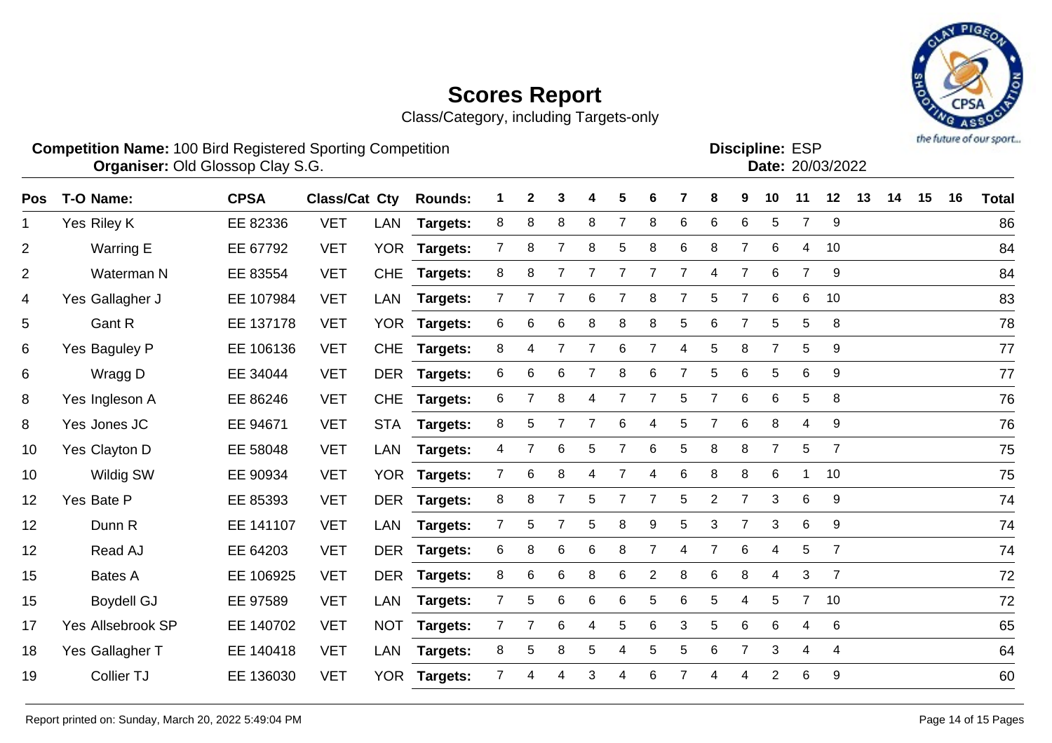Class/Category, including Targets-only



**Competition Name:** 100 Bird Registered Sporting Competition **EXP EXP Competition EXP Organiser:** Old Glossop Clay S.G. 2008/2022

| <b>Discipline: ESP</b> |                  |
|------------------------|------------------|
|                        | Date: 20/03/2022 |
|                        |                  |

| <b>Pos</b>     | T-O Name:         | <b>CPSA</b> | <b>Class/Cat Cty</b> |            | <b>Rounds:</b>  |                | $\mathbf{2}$   | 3               |                | 5              | 6              |                | 8              | 9              | 10             | 11             | 12             | 13 | 14 | 15 | 16 | <b>Total</b> |
|----------------|-------------------|-------------|----------------------|------------|-----------------|----------------|----------------|-----------------|----------------|----------------|----------------|----------------|----------------|----------------|----------------|----------------|----------------|----|----|----|----|--------------|
| $\mathbf 1$    | Yes Riley K       | EE 82336    | <b>VET</b>           | LAN        | <b>Targets:</b> | 8              | 8              | 8               | 8              | $\overline{7}$ | 8              | 6              | $\,6$          | 6              | 5              | $\overline{7}$ | 9              |    |    |    |    | 86           |
| $\overline{c}$ | Warring E         | EE 67792    | <b>VET</b>           |            | YOR Targets:    | 7              | 8              | $\overline{7}$  | 8              | 5              | 8              | 6              | 8              | $\overline{7}$ | 6              | 4              | 10             |    |    |    |    | 84           |
| $\overline{2}$ | Waterman N        | EE 83554    | <b>VET</b>           | <b>CHE</b> | Targets:        | 8              | 8              |                 |                |                |                |                | 4              | 7              | 6              | $\overline{7}$ | 9              |    |    |    |    | 84           |
| 4              | Yes Gallagher J   | EE 107984   | <b>VET</b>           | LAN        | <b>Targets:</b> | 7              |                | 7               | 6              | 7              | 8              |                | 5              | $\overline{7}$ | 6              | 6              | 10             |    |    |    |    | 83           |
| 5              | Gant R            | EE 137178   | <b>VET</b>           |            | YOR Targets:    | 6              | 6              | 6               | 8              | 8              | 8              | 5              | 6              | $\overline{7}$ | 5              | 5              | 8              |    |    |    |    | 78           |
| 6              | Yes Baguley P     | EE 106136   | <b>VET</b>           | <b>CHE</b> | Targets:        | 8              | 4              | $\overline{7}$  | $\overline{7}$ | 6              | 7              | 4              | 5              | 8              | $\overline{7}$ | 5              | 9              |    |    |    |    | 77           |
| 6              | Wragg D           | EE 34044    | <b>VET</b>           |            | DER Targets:    | 6              | 6              | 6               | $\overline{7}$ | 8              | 6              | $\overline{7}$ | $\mathbf 5$    | 6              | 5              | 6              | 9              |    |    |    |    | 77           |
| 8              | Yes Ingleson A    | EE 86246    | <b>VET</b>           | <b>CHE</b> | <b>Targets:</b> | 6              | $\overline{7}$ | 8               | 4              | 7              | 7              | 5              | $\overline{7}$ | $6\phantom{1}$ | 6              | 5              | 8              |    |    |    |    | 76           |
| 8              | Yes Jones JC      | EE 94671    | <b>VET</b>           |            | STA Targets:    | 8              | 5              | $\overline{7}$  | $\overline{7}$ | 6              | 4              | 5              | $\overline{7}$ | $6\phantom{1}$ | 8              | 4              | 9              |    |    |    |    | 76           |
| 10             | Yes Clayton D     | EE 58048    | <b>VET</b>           | LAN        | <b>Targets:</b> | 4              |                | $6\phantom{1}6$ | 5              | 7              | 6              | 5              | 8              | 8              | $\overline{7}$ | 5              | $\overline{7}$ |    |    |    |    | 75           |
| 10             | Wildig SW         | EE 90934    | <b>VET</b>           |            | YOR Targets:    | $\mathbf{7}$   | 6              | 8               | 4              |                | 4              | 6              | 8              | 8              | 6              | 1              | 10             |    |    |    |    | 75           |
| 12             | Yes Bate P        | EE 85393    | <b>VET</b>           | DER        | <b>Targets:</b> | 8              | 8              | $\overline{7}$  | 5              |                | 7              | 5              | $\overline{2}$ | $\overline{7}$ | 3              | 6              | 9              |    |    |    |    | 74           |
| 12             | Dunn R            | EE 141107   | <b>VET</b>           | LAN        | <b>Targets:</b> | $\overline{7}$ | 5              | $\overline{7}$  | 5              | 8              | 9              | 5              | 3              | $\overline{7}$ | 3              | 6              | 9              |    |    |    |    | 74           |
| 12             | Read AJ           | EE 64203    | <b>VET</b>           |            | DER Targets:    | 6              | 8              | $\,6$           | 6              | 8              | 7              | 4              | $\overline{7}$ | 6              | 4              | 5              | $\overline{7}$ |    |    |    |    | 74           |
| 15             | <b>Bates A</b>    | EE 106925   | <b>VET</b>           |            | DER Targets:    | 8              | 6              | 6               | 8              | 6              | $\overline{2}$ | 8              | 6              | 8              | 4              | 3              | $\overline{7}$ |    |    |    |    | 72           |
| 15             | <b>Boydell GJ</b> | EE 97589    | <b>VET</b>           | LAN        | <b>Targets:</b> | 7              | 5              | 6               | 6              | 6              | 5              | 6              | 5              | 4              | 5              | $7^{\circ}$    | 10             |    |    |    |    | 72           |
| 17             | Yes Allsebrook SP | EE 140702   | <b>VET</b>           |            | NOT Targets:    | 7              | $\overline{7}$ | 6               | 4              | 5              | 6              | 3              | 5              | 6              | 6              | $\overline{4}$ | 6              |    |    |    |    | 65           |
| 18             | Yes Gallagher T   | EE 140418   | <b>VET</b>           | LAN        | <b>Targets:</b> | 8              | 5              | 8               | 5              | 4              | 5              | 5              | $\,6$          | $\overline{7}$ | 3              | 4              | 4              |    |    |    |    | 64           |
| 19             | Collier TJ        | EE 136030   | <b>VET</b>           |            | YOR Targets:    | $\overline{7}$ |                | $\overline{4}$  | 3              | 4              | 6              |                | 4              | 4              | $\overline{2}$ | 6              | 9              |    |    |    |    | 60           |